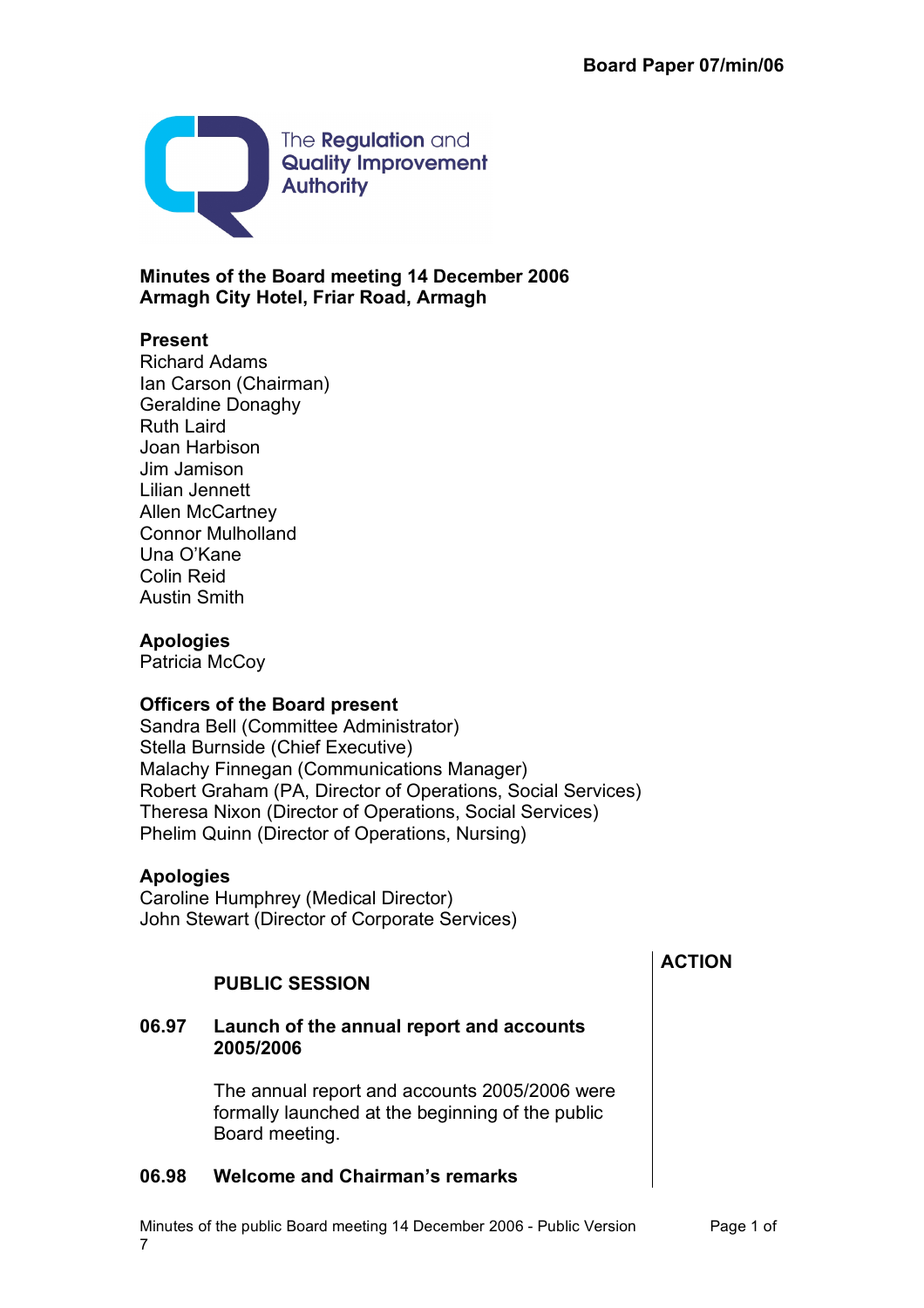

**Minutes of the Board meeting 14 December 2006 Armagh City Hotel, Friar Road, Armagh**

## **Present**

Richard Adams Ian Carson (Chairman) Geraldine Donaghy Ruth Laird Joan Harbison Jim Jamison Lilian Jennett Allen McCartney Connor Mulholland Una O'Kane Colin Reid Austin Smith

### **Apologies**

Patricia McCoy

## **Officers of the Board present**

Sandra Bell (Committee Administrator) Stella Burnside (Chief Executive) Malachy Finnegan (Communications Manager) Robert Graham (PA, Director of Operations, Social Services) Theresa Nixon (Director of Operations, Social Services) Phelim Quinn (Director of Operations, Nursing)

#### **Apologies**

Caroline Humphrey (Medical Director) John Stewart (Director of Corporate Services)

# **PUBLIC SESSION**

### **06.97 Launch of the annual report and accounts 2005/2006**

The annual report and accounts 2005/2006 were formally launched at the beginning of the public Board meeting.

## **06.98 Welcome and Chairman's remarks**

Minutes of the public Board meeting 14 December 2006 - Public Version Page 1 of 7

## **ACTION**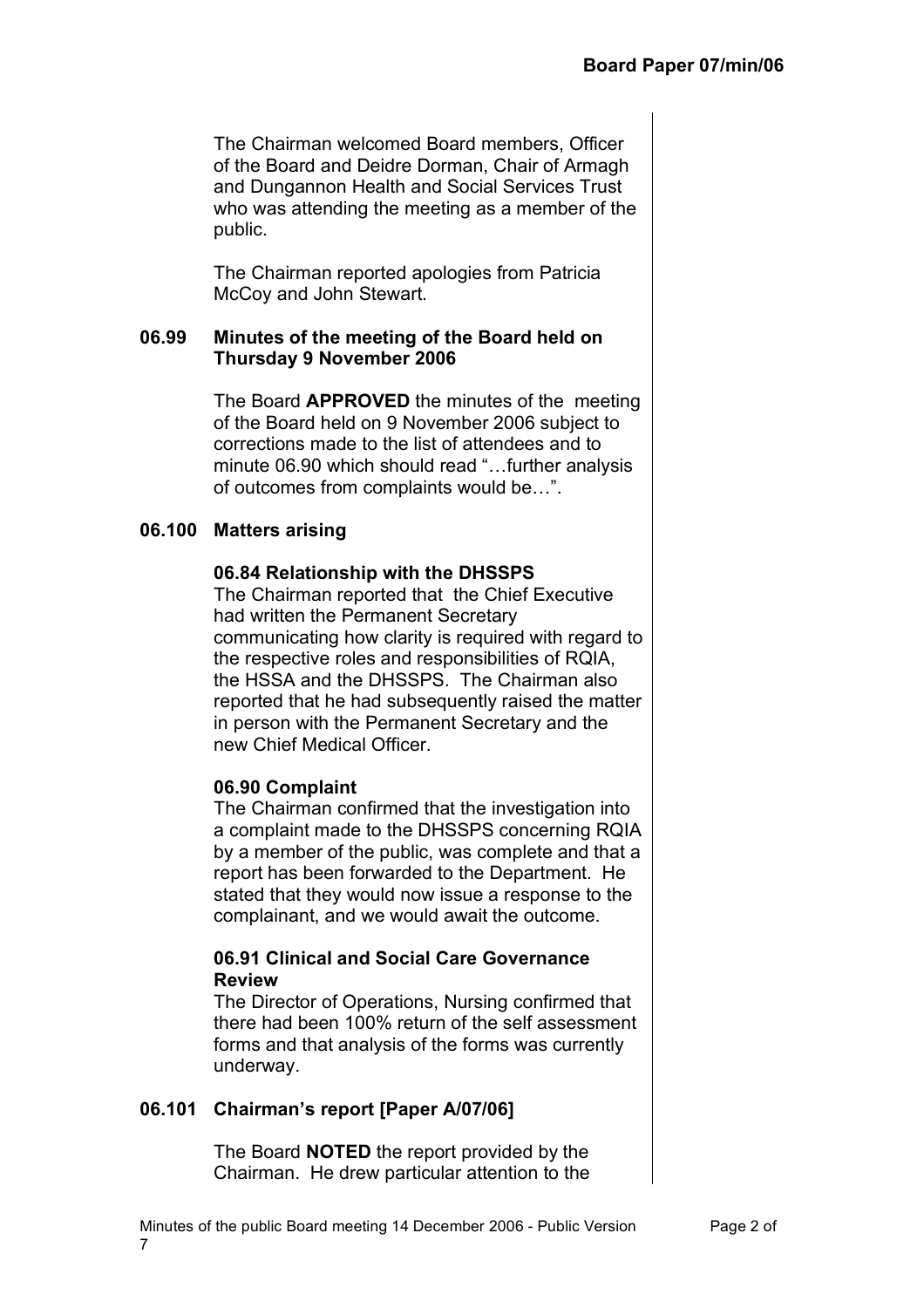The Chairman welcomed Board members, Officer of the Board and Deidre Dorman, Chair of Armagh and Dungannon Health and Social Services Trust who was attending the meeting as a member of the public.

The Chairman reported apologies from Patricia McCoy and John Stewart.

### **06.99 Minutes of the meeting of the Board held on Thursday 9 November 2006**

The Board **APPROVED** the minutes of the meeting of the Board held on 9 November 2006 subject to corrections made to the list of attendees and to minute 06.90 which should read "…further analysis of outcomes from complaints would be…".

### **06.100 Matters arising**

#### **06.84 Relationship with the DHSSPS**

The Chairman reported that the Chief Executive had written the Permanent Secretary communicating how clarity is required with regard to the respective roles and responsibilities of RQIA, the HSSA and the DHSSPS. The Chairman also reported that he had subsequently raised the matter in person with the Permanent Secretary and the new Chief Medical Officer.

## **06.90 Complaint**

The Chairman confirmed that the investigation into a complaint made to the DHSSPS concerning RQIA by a member of the public, was complete and that a report has been forwarded to the Department. He stated that they would now issue a response to the complainant, and we would await the outcome.

#### **06.91 Clinical and Social Care Governance Review**

The Director of Operations, Nursing confirmed that there had been 100% return of the self assessment forms and that analysis of the forms was currently underway.

## **06.101 Chairman's report [Paper A/07/06]**

The Board **NOTED** the report provided by the Chairman. He drew particular attention to the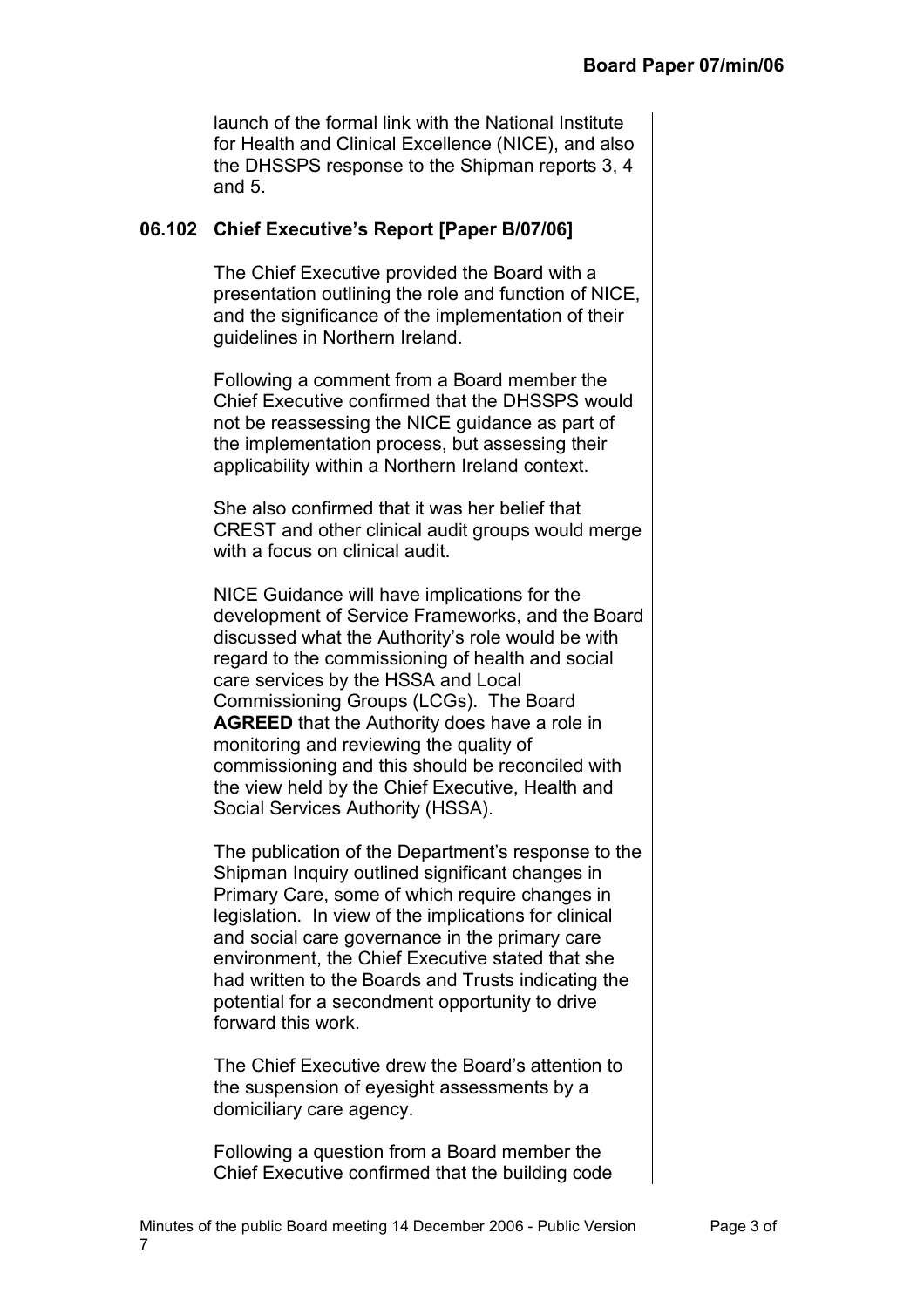launch of the formal link with the National Institute for Health and Clinical Excellence (NICE), and also the DHSSPS response to the Shipman reports 3, 4 and 5.

### **06.102 Chief Executive's Report [Paper B/07/06]**

The Chief Executive provided the Board with a presentation outlining the role and function of NICE, and the significance of the implementation of their guidelines in Northern Ireland.

Following a comment from a Board member the Chief Executive confirmed that the DHSSPS would not be reassessing the NICE guidance as part of the implementation process, but assessing their applicability within a Northern Ireland context.

She also confirmed that it was her belief that CREST and other clinical audit groups would merge with a focus on clinical audit.

NICE Guidance will have implications for the development of Service Frameworks, and the Board discussed what the Authority's role would be with regard to the commissioning of health and social care services by the HSSA and Local Commissioning Groups (LCGs). The Board **AGREED** that the Authority does have a role in monitoring and reviewing the quality of commissioning and this should be reconciled with the view held by the Chief Executive, Health and Social Services Authority (HSSA).

The publication of the Department's response to the Shipman Inquiry outlined significant changes in Primary Care, some of which require changes in legislation. In view of the implications for clinical and social care governance in the primary care environment, the Chief Executive stated that she had written to the Boards and Trusts indicating the potential for a secondment opportunity to drive forward this work.

The Chief Executive drew the Board's attention to the suspension of eyesight assessments by a domiciliary care agency.

Following a question from a Board member the Chief Executive confirmed that the building code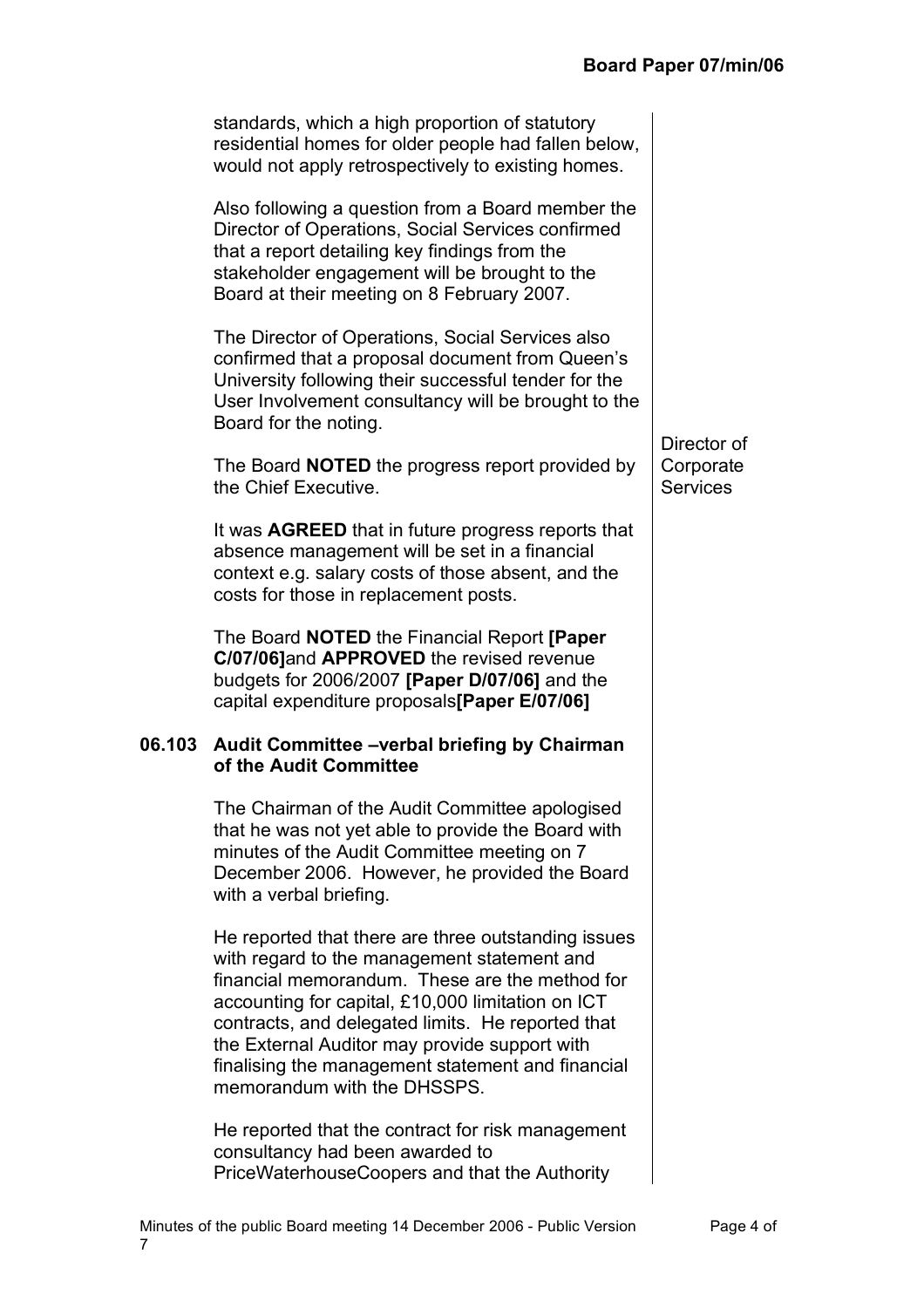| standards, which a high proportion of statutory<br>residential homes for older people had fallen below,<br>would not apply retrospectively to existing homes.                                                                                                                                                                                                                                       |                              |
|-----------------------------------------------------------------------------------------------------------------------------------------------------------------------------------------------------------------------------------------------------------------------------------------------------------------------------------------------------------------------------------------------------|------------------------------|
| Also following a question from a Board member the<br>Director of Operations, Social Services confirmed<br>that a report detailing key findings from the<br>stakeholder engagement will be brought to the<br>Board at their meeting on 8 February 2007.                                                                                                                                              |                              |
| The Director of Operations, Social Services also<br>confirmed that a proposal document from Queen's<br>University following their successful tender for the<br>User Involvement consultancy will be brought to the<br>Board for the noting.                                                                                                                                                         | Director of                  |
| The Board <b>NOTED</b> the progress report provided by<br>the Chief Executive.                                                                                                                                                                                                                                                                                                                      | Corporate<br><b>Services</b> |
| It was <b>AGREED</b> that in future progress reports that<br>absence management will be set in a financial<br>context e.g. salary costs of those absent, and the<br>costs for those in replacement posts.                                                                                                                                                                                           |                              |
| The Board <b>NOTED</b> the Financial Report [Paper<br>C/07/06]and APPROVED the revised revenue<br>budgets for 2006/2007 [Paper D/07/06] and the<br>capital expenditure proposals[Paper E/07/06]                                                                                                                                                                                                     |                              |
| 06.103 Audit Committee –verbal briefing by Chairman<br>of the Audit Committee                                                                                                                                                                                                                                                                                                                       |                              |
| The Chairman of the Audit Committee apologised<br>that he was not yet able to provide the Board with<br>minutes of the Audit Committee meeting on 7<br>December 2006. However, he provided the Board<br>with a verbal briefing.                                                                                                                                                                     |                              |
| He reported that there are three outstanding issues<br>with regard to the management statement and<br>financial memorandum. These are the method for<br>accounting for capital, £10,000 limitation on ICT<br>contracts, and delegated limits. He reported that<br>the External Auditor may provide support with<br>finalising the management statement and financial<br>memorandum with the DHSSPS. |                              |
| He reported that the contract for risk management<br>consultancy had been awarded to                                                                                                                                                                                                                                                                                                                |                              |

PriceWaterhouseCoopers and that the Authority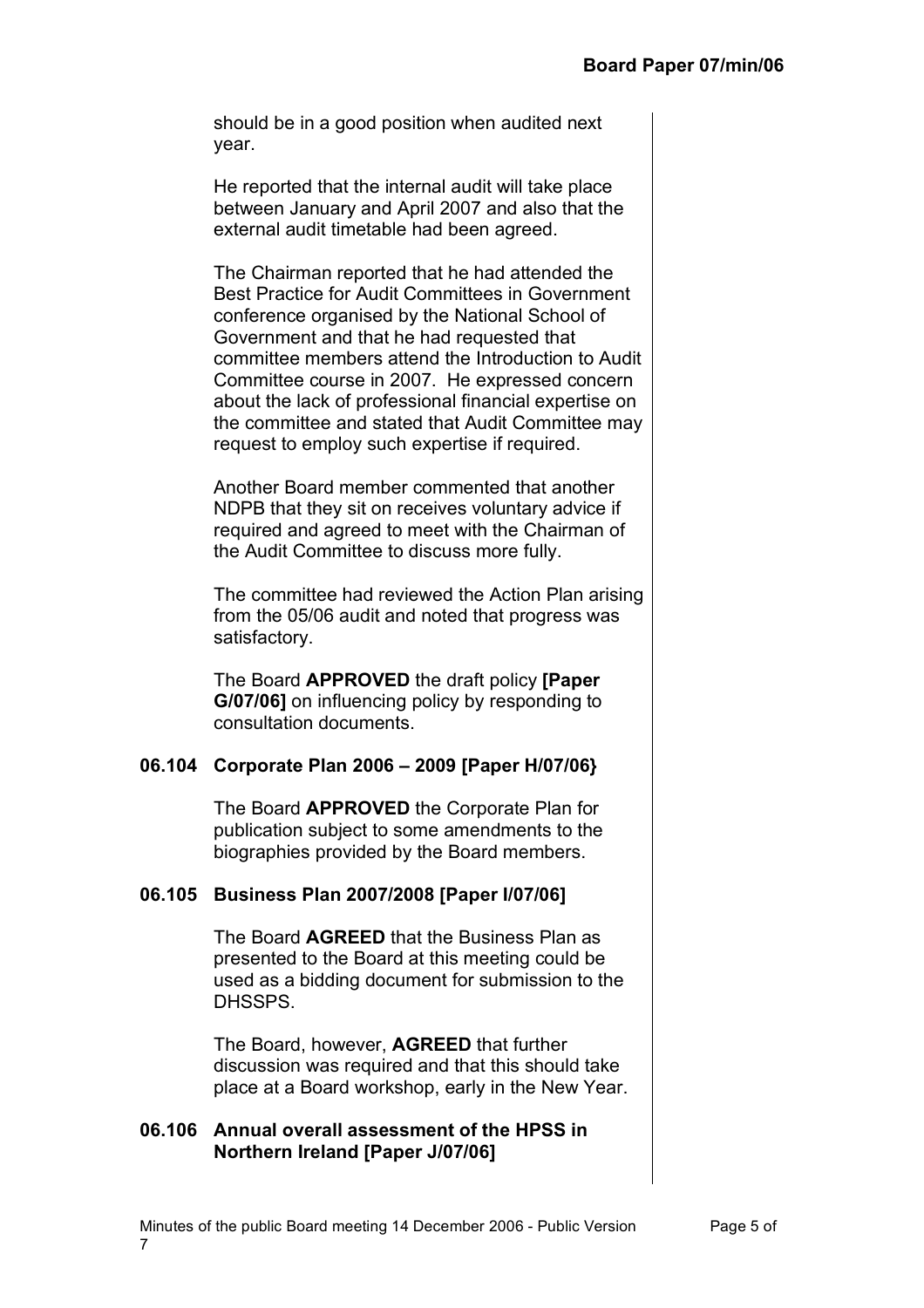should be in a good position when audited next year.

He reported that the internal audit will take place between January and April 2007 and also that the external audit timetable had been agreed.

The Chairman reported that he had attended the Best Practice for Audit Committees in Government conference organised by the National School of Government and that he had requested that committee members attend the Introduction to Audit Committee course in 2007. He expressed concern about the lack of professional financial expertise on the committee and stated that Audit Committee may request to employ such expertise if required.

Another Board member commented that another NDPB that they sit on receives voluntary advice if required and agreed to meet with the Chairman of the Audit Committee to discuss more fully.

The committee had reviewed the Action Plan arising from the 05/06 audit and noted that progress was satisfactory.

The Board **APPROVED** the draft policy **[Paper G/07/06]** on influencing policy by responding to consultation documents.

#### **06.104 Corporate Plan 2006 – 2009 [Paper H/07/06}**

The Board **APPROVED** the Corporate Plan for publication subject to some amendments to the biographies provided by the Board members.

## **06.105 Business Plan 2007/2008 [Paper I/07/06]**

The Board **AGREED** that the Business Plan as presented to the Board at this meeting could be used as a bidding document for submission to the DHSSPS.

The Board, however, **AGREED** that further discussion was required and that this should take place at a Board workshop, early in the New Year.

#### **06.106 Annual overall assessment of the HPSS in Northern Ireland [Paper J/07/06]**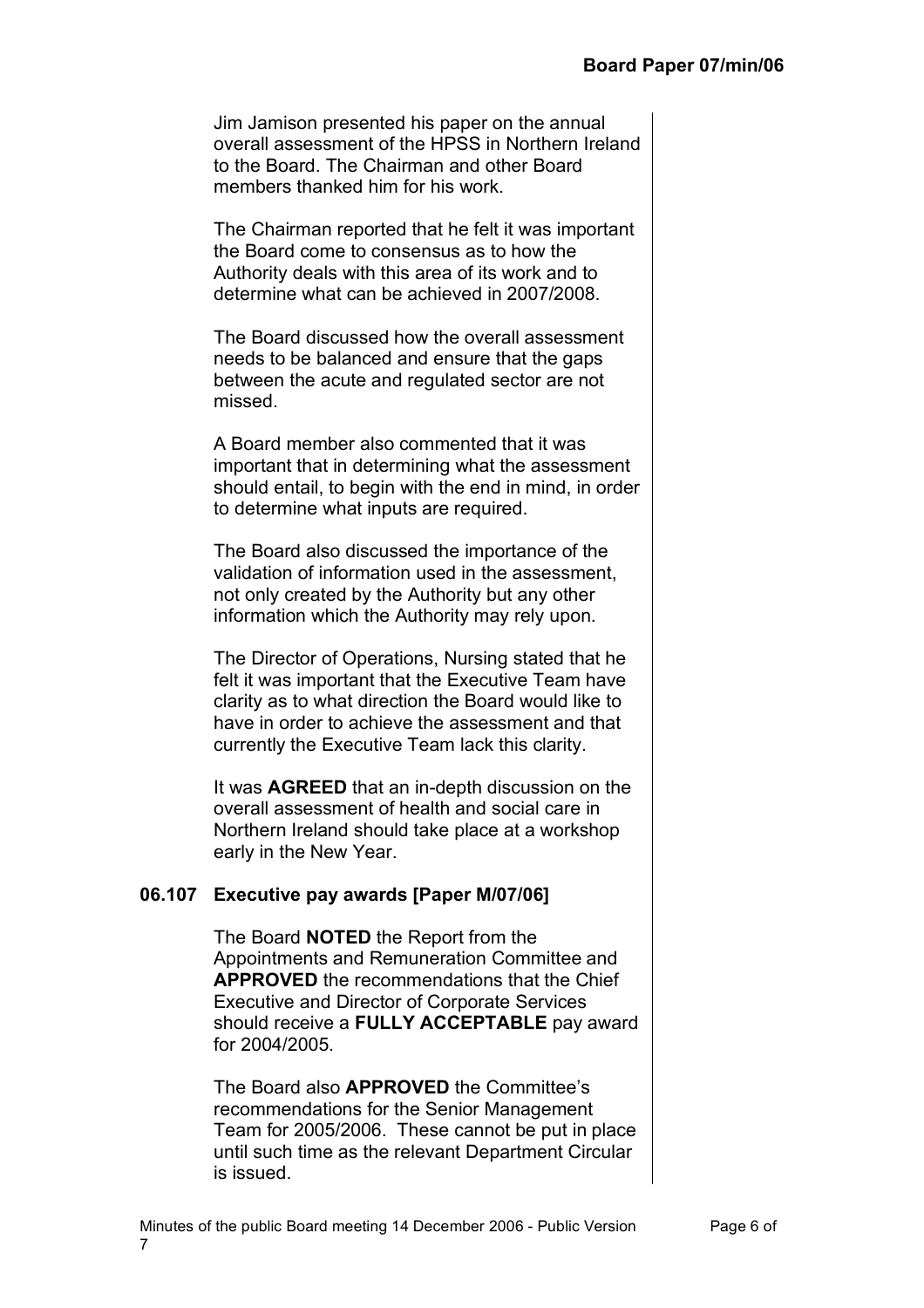Jim Jamison presented his paper on the annual overall assessment of the HPSS in Northern Ireland to the Board. The Chairman and other Board members thanked him for his work.

The Chairman reported that he felt it was important the Board come to consensus as to how the Authority deals with this area of its work and to determine what can be achieved in 2007/2008.

The Board discussed how the overall assessment needs to be balanced and ensure that the gaps between the acute and regulated sector are not missed.

A Board member also commented that it was important that in determining what the assessment should entail, to begin with the end in mind, in order to determine what inputs are required.

The Board also discussed the importance of the validation of information used in the assessment, not only created by the Authority but any other information which the Authority may rely upon.

The Director of Operations, Nursing stated that he felt it was important that the Executive Team have clarity as to what direction the Board would like to have in order to achieve the assessment and that currently the Executive Team lack this clarity.

It was **AGREED** that an in-depth discussion on the overall assessment of health and social care in Northern Ireland should take place at a workshop early in the New Year.

## **06.107 Executive pay awards [Paper M/07/06]**

The Board **NOTED** the Report from the Appointments and Remuneration Committee and **APPROVED** the recommendations that the Chief Executive and Director of Corporate Services should receive a **FULLY ACCEPTABLE** pay award for 2004/2005.

The Board also **APPROVED** the Committee's recommendations for the Senior Management Team for 2005/2006. These cannot be put in place until such time as the relevant Department Circular is issued.